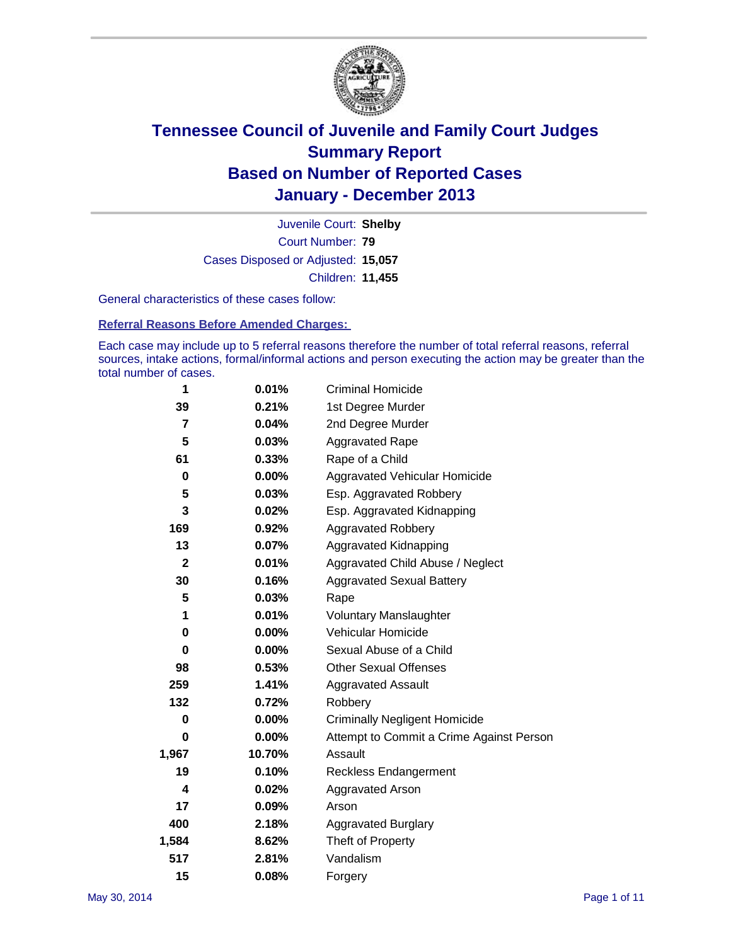

Court Number: **79** Juvenile Court: **Shelby** Cases Disposed or Adjusted: **15,057** Children: **11,455**

General characteristics of these cases follow:

**Referral Reasons Before Amended Charges:** 

Each case may include up to 5 referral reasons therefore the number of total referral reasons, referral sources, intake actions, formal/informal actions and person executing the action may be greater than the total number of cases.

| 1            | 0.01%    | <b>Criminal Homicide</b>                 |
|--------------|----------|------------------------------------------|
| 39           | 0.21%    | 1st Degree Murder                        |
| 7            | 0.04%    | 2nd Degree Murder                        |
| 5            | 0.03%    | <b>Aggravated Rape</b>                   |
| 61           | 0.33%    | Rape of a Child                          |
| 0            | $0.00\%$ | Aggravated Vehicular Homicide            |
| 5            | 0.03%    | Esp. Aggravated Robbery                  |
| 3            | 0.02%    | Esp. Aggravated Kidnapping               |
| 169          | 0.92%    | <b>Aggravated Robbery</b>                |
| 13           | 0.07%    | Aggravated Kidnapping                    |
| $\mathbf{2}$ | 0.01%    | Aggravated Child Abuse / Neglect         |
| 30           | 0.16%    | <b>Aggravated Sexual Battery</b>         |
| 5            | 0.03%    | Rape                                     |
| 1            | 0.01%    | <b>Voluntary Manslaughter</b>            |
| 0            | 0.00%    | Vehicular Homicide                       |
| 0            | 0.00%    | Sexual Abuse of a Child                  |
| 98           | 0.53%    | <b>Other Sexual Offenses</b>             |
| 259          | 1.41%    | <b>Aggravated Assault</b>                |
| 132          | 0.72%    | Robbery                                  |
| 0            | 0.00%    | <b>Criminally Negligent Homicide</b>     |
| 0            | 0.00%    | Attempt to Commit a Crime Against Person |
| 1,967        | 10.70%   | Assault                                  |
| 19           | 0.10%    | <b>Reckless Endangerment</b>             |
| 4            | 0.02%    | <b>Aggravated Arson</b>                  |
| 17           | 0.09%    | Arson                                    |
| 400          | 2.18%    | <b>Aggravated Burglary</b>               |
| 1,584        | 8.62%    | Theft of Property                        |
| 517          | 2.81%    | Vandalism                                |
| 15           | 0.08%    | Forgery                                  |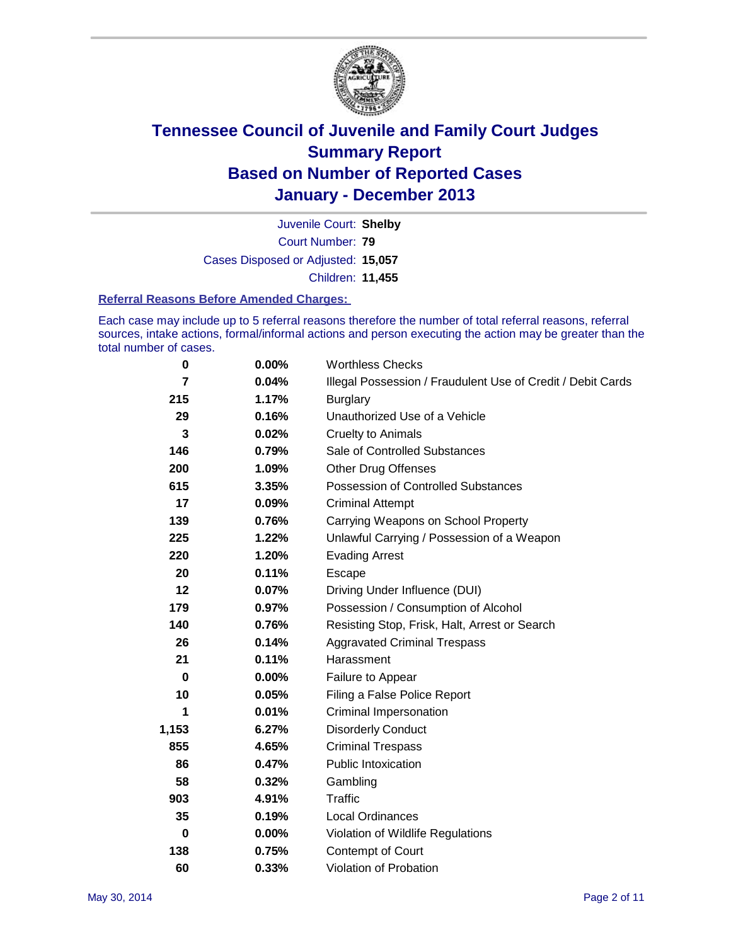

Court Number: **79** Juvenile Court: **Shelby** Cases Disposed or Adjusted: **15,057** Children: **11,455**

#### **Referral Reasons Before Amended Charges:**

Each case may include up to 5 referral reasons therefore the number of total referral reasons, referral sources, intake actions, formal/informal actions and person executing the action may be greater than the total number of cases.

| 0     | $0.00\%$ | <b>Worthless Checks</b>                                     |
|-------|----------|-------------------------------------------------------------|
| 7     | 0.04%    | Illegal Possession / Fraudulent Use of Credit / Debit Cards |
| 215   | 1.17%    | <b>Burglary</b>                                             |
| 29    | 0.16%    | Unauthorized Use of a Vehicle                               |
| 3     | 0.02%    | <b>Cruelty to Animals</b>                                   |
| 146   | 0.79%    | Sale of Controlled Substances                               |
| 200   | 1.09%    | <b>Other Drug Offenses</b>                                  |
| 615   | 3.35%    | Possession of Controlled Substances                         |
| 17    | 0.09%    | <b>Criminal Attempt</b>                                     |
| 139   | 0.76%    | Carrying Weapons on School Property                         |
| 225   | 1.22%    | Unlawful Carrying / Possession of a Weapon                  |
| 220   | 1.20%    | <b>Evading Arrest</b>                                       |
| 20    | 0.11%    | Escape                                                      |
| 12    | 0.07%    | Driving Under Influence (DUI)                               |
| 179   | 0.97%    | Possession / Consumption of Alcohol                         |
| 140   | 0.76%    | Resisting Stop, Frisk, Halt, Arrest or Search               |
| 26    | 0.14%    | <b>Aggravated Criminal Trespass</b>                         |
| 21    | 0.11%    | Harassment                                                  |
| 0     | $0.00\%$ | Failure to Appear                                           |
| 10    | 0.05%    | Filing a False Police Report                                |
| 1     | 0.01%    | Criminal Impersonation                                      |
| 1,153 | 6.27%    | <b>Disorderly Conduct</b>                                   |
| 855   | 4.65%    | <b>Criminal Trespass</b>                                    |
| 86    | 0.47%    | <b>Public Intoxication</b>                                  |
| 58    | 0.32%    | Gambling                                                    |
| 903   | 4.91%    | Traffic                                                     |
| 35    | 0.19%    | Local Ordinances                                            |
| 0     | 0.00%    | Violation of Wildlife Regulations                           |
| 138   | 0.75%    | Contempt of Court                                           |
| 60    | 0.33%    | Violation of Probation                                      |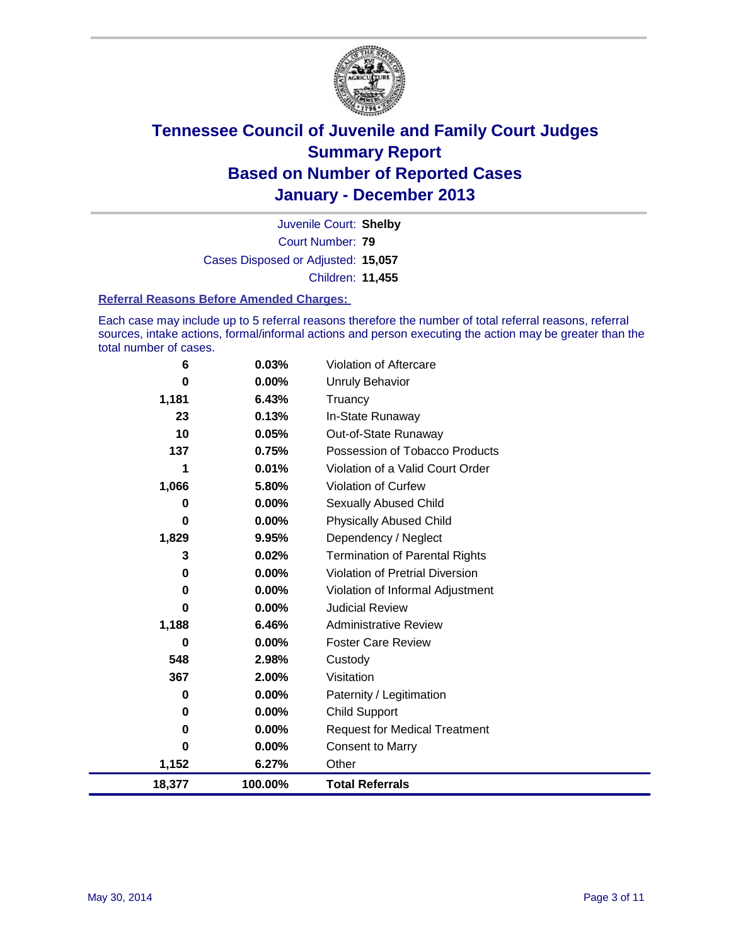

Court Number: **79** Juvenile Court: **Shelby** Cases Disposed or Adjusted: **15,057** Children: **11,455**

#### **Referral Reasons Before Amended Charges:**

Each case may include up to 5 referral reasons therefore the number of total referral reasons, referral sources, intake actions, formal/informal actions and person executing the action may be greater than the total number of cases.

| 6      | 0.03%    | Violation of Aftercare                 |
|--------|----------|----------------------------------------|
| 0      | $0.00\%$ | <b>Unruly Behavior</b>                 |
| 1,181  | 6.43%    | Truancy                                |
| 23     | 0.13%    | In-State Runaway                       |
| 10     | 0.05%    | Out-of-State Runaway                   |
| 137    | 0.75%    | Possession of Tobacco Products         |
| 1      | 0.01%    | Violation of a Valid Court Order       |
| 1,066  | 5.80%    | <b>Violation of Curfew</b>             |
| 0      | $0.00\%$ | Sexually Abused Child                  |
| 0      | 0.00%    | <b>Physically Abused Child</b>         |
| 1,829  | 9.95%    | Dependency / Neglect                   |
| 3      | 0.02%    | <b>Termination of Parental Rights</b>  |
| 0      | 0.00%    | <b>Violation of Pretrial Diversion</b> |
| 0      | $0.00\%$ | Violation of Informal Adjustment       |
| 0      | $0.00\%$ | <b>Judicial Review</b>                 |
| 1,188  | 6.46%    | <b>Administrative Review</b>           |
| 0      | $0.00\%$ | <b>Foster Care Review</b>              |
| 548    | 2.98%    | Custody                                |
| 367    | 2.00%    | Visitation                             |
| 0      | $0.00\%$ | Paternity / Legitimation               |
| 0      | $0.00\%$ | Child Support                          |
| 0      | 0.00%    | <b>Request for Medical Treatment</b>   |
| 0      | $0.00\%$ | <b>Consent to Marry</b>                |
| 1,152  | 6.27%    | Other                                  |
| 18,377 | 100.00%  | <b>Total Referrals</b>                 |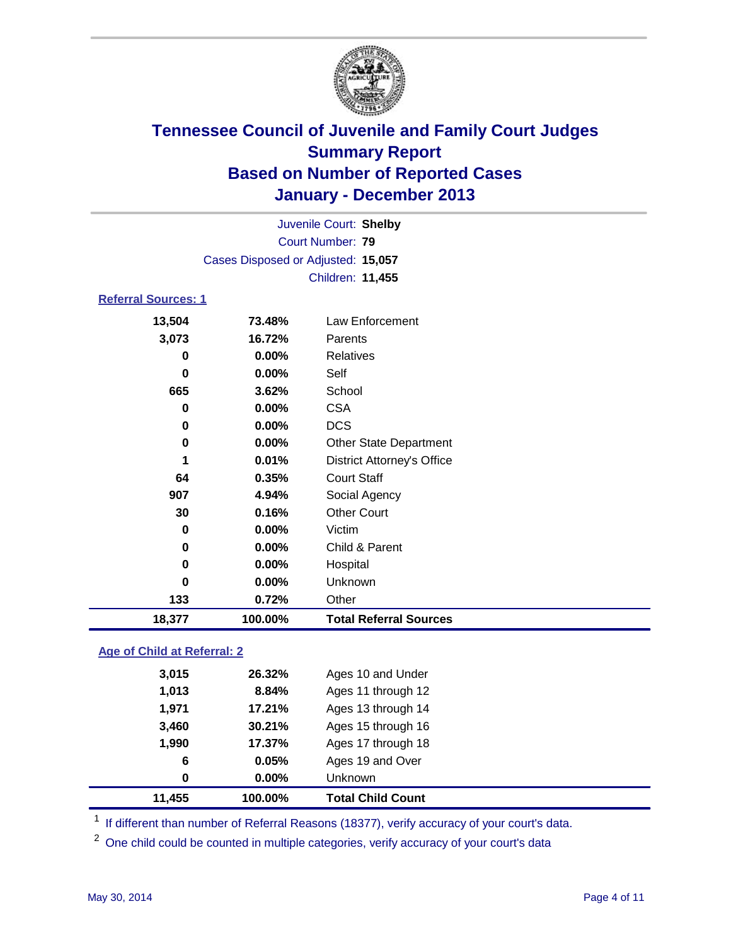

|                            |                                    | Juvenile Court: Shelby            |
|----------------------------|------------------------------------|-----------------------------------|
|                            |                                    | <b>Court Number: 79</b>           |
|                            | Cases Disposed or Adjusted: 15,057 |                                   |
|                            |                                    | Children: 11,455                  |
| <b>Referral Sources: 1</b> |                                    |                                   |
| 13,504                     | 73.48%                             | Law Enforcement                   |
| 3,073                      | 16.72%                             | Parents                           |
| 0                          | 0.00%                              | Relatives                         |
| $\bf{0}$                   | 0.00%                              | Self                              |
| 665                        | 3.62%                              | School                            |
| 0                          | 0.00%                              | <b>CSA</b>                        |
| $\bf{0}$                   | 0.00%                              | <b>DCS</b>                        |
| $\mathbf 0$                | 0.00%                              | <b>Other State Department</b>     |
| 1                          | 0.01%                              | <b>District Attorney's Office</b> |
| 64                         | 0.35%                              | <b>Court Staff</b>                |
| 907                        | 4.94%                              | Social Agency                     |
| 30                         | 0.16%                              | <b>Other Court</b>                |
| 0                          | 0.00%                              | Victim                            |
| 0                          | 0.00%                              | Child & Parent                    |
| $\bf{0}$                   | 0.00%                              | Hospital                          |
| 0                          | 0.00%                              | Unknown                           |
| 133                        | 0.72%                              | Other                             |
| 18,377                     | 100.00%                            | <b>Total Referral Sources</b>     |

### **Age of Child at Referral: 2**

| 3,460<br>1,990<br>6<br>0 | 30.21%<br>17.37%<br>0.05%<br>$0.00\%$ | Ages 15 through 16<br>Ages 17 through 18<br>Ages 19 and Over<br><b>Unknown</b> |
|--------------------------|---------------------------------------|--------------------------------------------------------------------------------|
|                          |                                       |                                                                                |
|                          |                                       |                                                                                |
|                          |                                       |                                                                                |
|                          |                                       |                                                                                |
| 1.971                    | 17.21%                                | Ages 13 through 14                                                             |
| 1,013                    | 8.84%                                 | Ages 11 through 12                                                             |
| 3,015                    |                                       | Ages 10 and Under                                                              |
|                          |                                       | 26.32%                                                                         |

<sup>1</sup> If different than number of Referral Reasons (18377), verify accuracy of your court's data.

<sup>2</sup> One child could be counted in multiple categories, verify accuracy of your court's data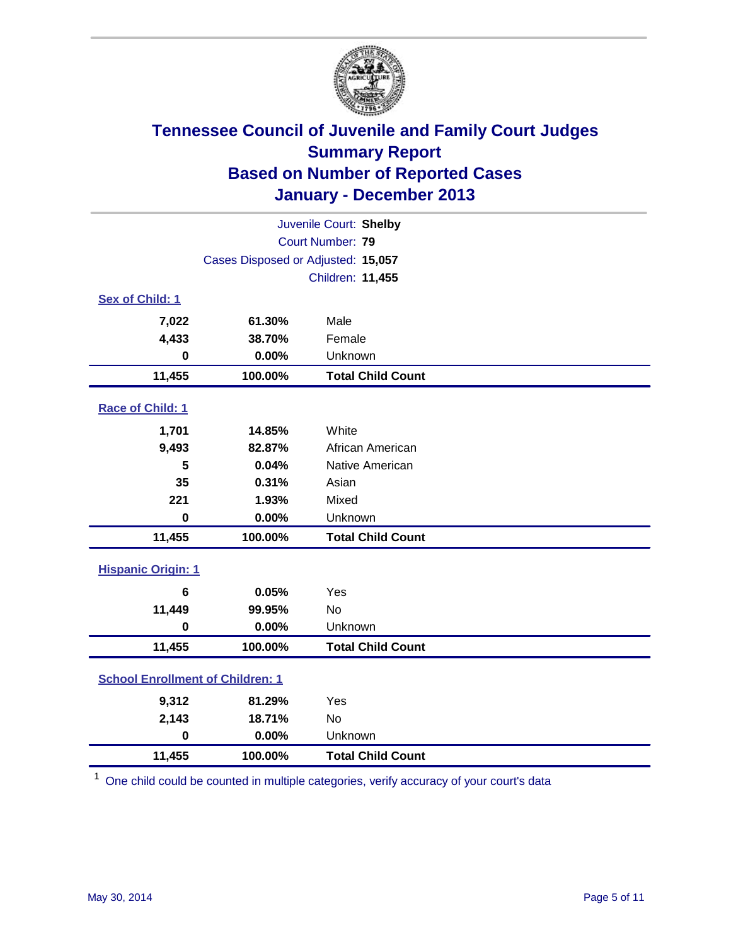

| Juvenile Court: Shelby                  |                                    |                          |  |  |  |
|-----------------------------------------|------------------------------------|--------------------------|--|--|--|
|                                         | Court Number: 79                   |                          |  |  |  |
|                                         | Cases Disposed or Adjusted: 15,057 |                          |  |  |  |
|                                         | Children: 11,455                   |                          |  |  |  |
| Sex of Child: 1                         |                                    |                          |  |  |  |
| 7,022                                   | 61.30%                             | Male                     |  |  |  |
| 4,433                                   | 38.70%                             | Female                   |  |  |  |
| $\bf{0}$                                | 0.00%                              | Unknown                  |  |  |  |
| 11,455                                  | 100.00%                            | <b>Total Child Count</b> |  |  |  |
| Race of Child: 1                        |                                    |                          |  |  |  |
| 1,701                                   | 14.85%                             | White                    |  |  |  |
| 9,493                                   | 82.87%                             | African American         |  |  |  |
| 5                                       | 0.04%                              | Native American          |  |  |  |
| 35                                      | 0.31%                              | Asian                    |  |  |  |
| 221                                     | 1.93%                              | Mixed                    |  |  |  |
| $\bf{0}$                                | 0.00%                              | Unknown                  |  |  |  |
| 11,455                                  | 100.00%                            | <b>Total Child Count</b> |  |  |  |
| <b>Hispanic Origin: 1</b>               |                                    |                          |  |  |  |
| 6                                       | 0.05%                              | Yes                      |  |  |  |
| 11,449                                  | 99.95%                             | No                       |  |  |  |
| $\mathbf 0$                             | 0.00%                              | Unknown                  |  |  |  |
| 11,455                                  | 100.00%                            | <b>Total Child Count</b> |  |  |  |
| <b>School Enrollment of Children: 1</b> |                                    |                          |  |  |  |
| 9,312                                   | 81.29%                             | Yes                      |  |  |  |
| 2,143                                   | 18.71%                             | <b>No</b>                |  |  |  |
| $\mathbf 0$                             | 0.00%                              | Unknown                  |  |  |  |
| 11,455                                  | 100.00%                            | <b>Total Child Count</b> |  |  |  |

 $1$  One child could be counted in multiple categories, verify accuracy of your court's data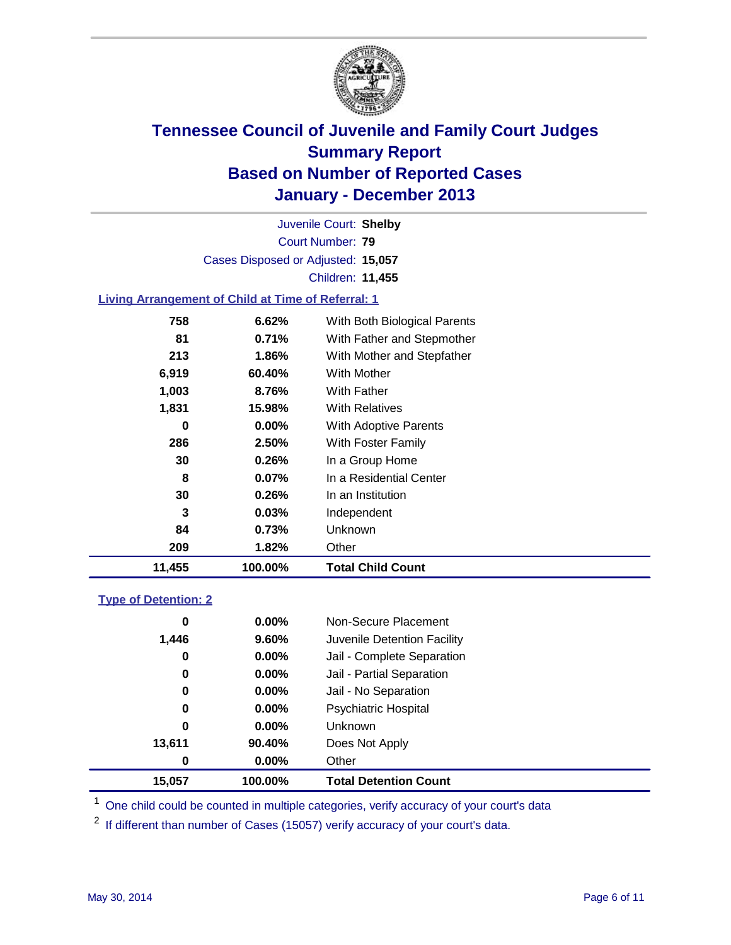

Court Number: **79** Juvenile Court: **Shelby** Cases Disposed or Adjusted: **15,057** Children: **11,455**

### **Living Arrangement of Child at Time of Referral: 1**

| 11,455 | 100.00%  | <b>Total Child Count</b>     |
|--------|----------|------------------------------|
| 209    | 1.82%    | Other                        |
| 84     | 0.73%    | <b>Unknown</b>               |
| 3      | $0.03\%$ | Independent                  |
| 30     | 0.26%    | In an Institution            |
| 8      | $0.07\%$ | In a Residential Center      |
| 30     | 0.26%    | In a Group Home              |
| 286    | 2.50%    | With Foster Family           |
| 0      | $0.00\%$ | <b>With Adoptive Parents</b> |
| 1,831  | 15.98%   | <b>With Relatives</b>        |
| 1,003  | 8.76%    | With Father                  |
| 6,919  | 60.40%   | With Mother                  |
| 213    | 1.86%    | With Mother and Stepfather   |
| 81     | 0.71%    | With Father and Stepmother   |
| 758    | 6.62%    | With Both Biological Parents |
|        |          |                              |

#### **Type of Detention: 2**

| 15,057 | 100.00% | <b>Total Detention Count</b> |  |
|--------|---------|------------------------------|--|
| 0      | 0.00%   | Other                        |  |
| 13,611 | 90.40%  | Does Not Apply               |  |
| 0      | 0.00%   | <b>Unknown</b>               |  |
| 0      | 0.00%   | <b>Psychiatric Hospital</b>  |  |
| 0      | 0.00%   | Jail - No Separation         |  |
| 0      | 0.00%   | Jail - Partial Separation    |  |
| 0      | 0.00%   | Jail - Complete Separation   |  |
| 1,446  | 9.60%   | Juvenile Detention Facility  |  |
| 0      | 0.00%   | Non-Secure Placement         |  |
|        |         |                              |  |

<sup>1</sup> One child could be counted in multiple categories, verify accuracy of your court's data

 $2$  If different than number of Cases (15057) verify accuracy of your court's data.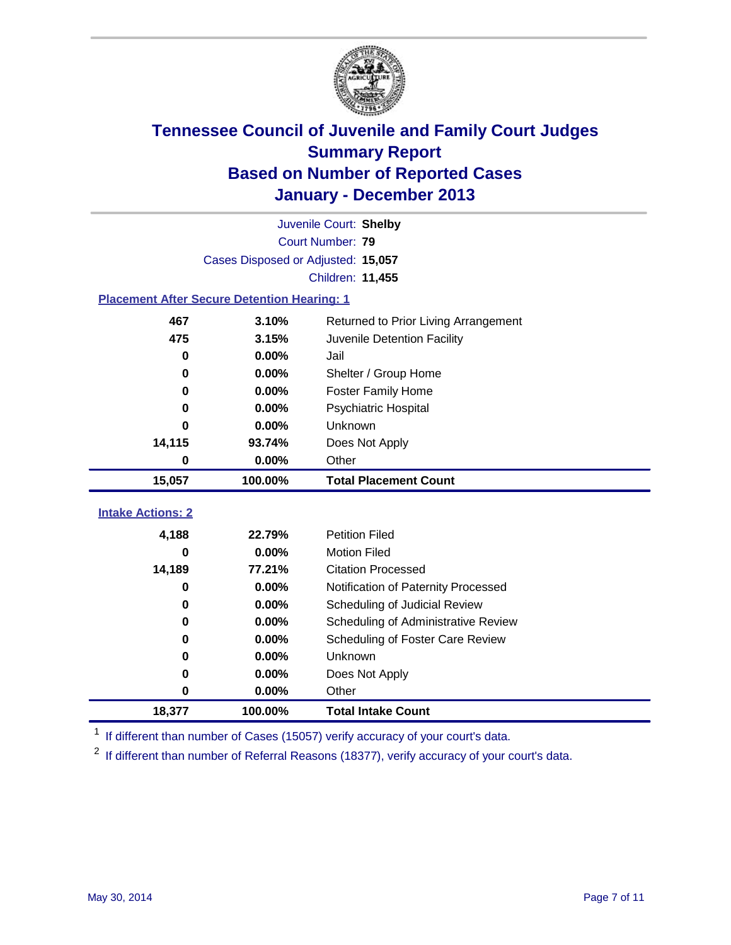

|                                                    | Juvenile Court: Shelby             |                                      |  |  |  |
|----------------------------------------------------|------------------------------------|--------------------------------------|--|--|--|
|                                                    | <b>Court Number: 79</b>            |                                      |  |  |  |
|                                                    | Cases Disposed or Adjusted: 15,057 |                                      |  |  |  |
|                                                    |                                    | Children: 11,455                     |  |  |  |
| <b>Placement After Secure Detention Hearing: 1</b> |                                    |                                      |  |  |  |
| 467                                                | 3.10%                              | Returned to Prior Living Arrangement |  |  |  |
| 475                                                | 3.15%                              | Juvenile Detention Facility          |  |  |  |
| 0                                                  | 0.00%                              | Jail                                 |  |  |  |
| 0                                                  | 0.00%                              | Shelter / Group Home                 |  |  |  |
| 0                                                  | 0.00%                              | <b>Foster Family Home</b>            |  |  |  |
| $\bf{0}$                                           | 0.00%                              | Psychiatric Hospital                 |  |  |  |
| 0                                                  | 0.00%                              | Unknown                              |  |  |  |
| 14,115                                             | 93.74%                             | Does Not Apply                       |  |  |  |
| 0                                                  | 0.00%                              | Other                                |  |  |  |
|                                                    |                                    |                                      |  |  |  |
| 15,057                                             | 100.00%                            | <b>Total Placement Count</b>         |  |  |  |
|                                                    |                                    |                                      |  |  |  |
| <b>Intake Actions: 2</b>                           |                                    |                                      |  |  |  |
| 4,188                                              | 22.79%                             | <b>Petition Filed</b>                |  |  |  |
| 0                                                  | 0.00%                              | <b>Motion Filed</b>                  |  |  |  |
| 14,189                                             | 77.21%                             | <b>Citation Processed</b>            |  |  |  |
| 0                                                  | 0.00%                              | Notification of Paternity Processed  |  |  |  |
| 0                                                  | 0.00%                              | Scheduling of Judicial Review        |  |  |  |
| 0                                                  | 0.00%                              | Scheduling of Administrative Review  |  |  |  |
| $\bf{0}$                                           | 0.00%                              | Scheduling of Foster Care Review     |  |  |  |
| 0                                                  | 0.00%                              | Unknown                              |  |  |  |
| 0                                                  | 0.00%                              | Does Not Apply                       |  |  |  |
| 0                                                  | 0.00%                              | Other                                |  |  |  |

<sup>1</sup> If different than number of Cases (15057) verify accuracy of your court's data.

<sup>2</sup> If different than number of Referral Reasons (18377), verify accuracy of your court's data.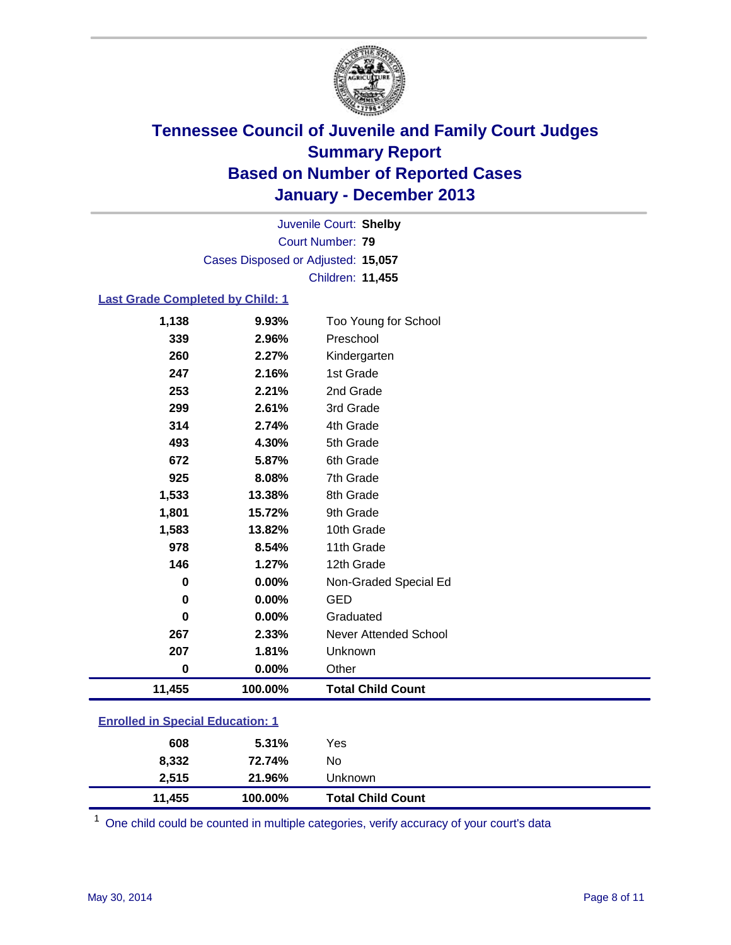

Court Number: **79** Juvenile Court: **Shelby** Cases Disposed or Adjusted: **15,057** Children: **11,455**

#### **Last Grade Completed by Child: 1**

| 11,455 | 100.00% | <b>Total Child Count</b>     |  |
|--------|---------|------------------------------|--|
| 0      | 0.00%   | Other                        |  |
| 207    | 1.81%   | Unknown                      |  |
| 267    | 2.33%   | <b>Never Attended School</b> |  |
| 0      | 0.00%   | Graduated                    |  |
| 0      | 0.00%   | GED                          |  |
| 0      | 0.00%   | Non-Graded Special Ed        |  |
| 146    | 1.27%   | 12th Grade                   |  |
| 978    | 8.54%   | 11th Grade                   |  |
| 1,583  | 13.82%  | 10th Grade                   |  |
| 1,801  | 15.72%  | 9th Grade                    |  |
| 1,533  | 13.38%  | 8th Grade                    |  |
| 925    | 8.08%   | 7th Grade                    |  |
| 672    | 5.87%   | 6th Grade                    |  |
| 493    | 4.30%   | 5th Grade                    |  |
| 314    | 2.74%   | 4th Grade                    |  |
| 299    | 2.61%   | 3rd Grade                    |  |
| 253    | 2.21%   | 2nd Grade                    |  |
| 247    | 2.16%   | 1st Grade                    |  |
| 260    | 2.27%   | Kindergarten                 |  |
| 339    | 2.96%   | Preschool                    |  |
| 1,138  | 9.93%   | Too Young for School         |  |

# **Enrolled in Special Education: 1**

| 11.455 | 100.00% | <b>Total Child Count</b> |  |
|--------|---------|--------------------------|--|
| 2.515  | 21.96%  | Unknown                  |  |
| 8.332  | 72.74%  | No                       |  |
| 608    | 5.31%   | Yes                      |  |

 $1$  One child could be counted in multiple categories, verify accuracy of your court's data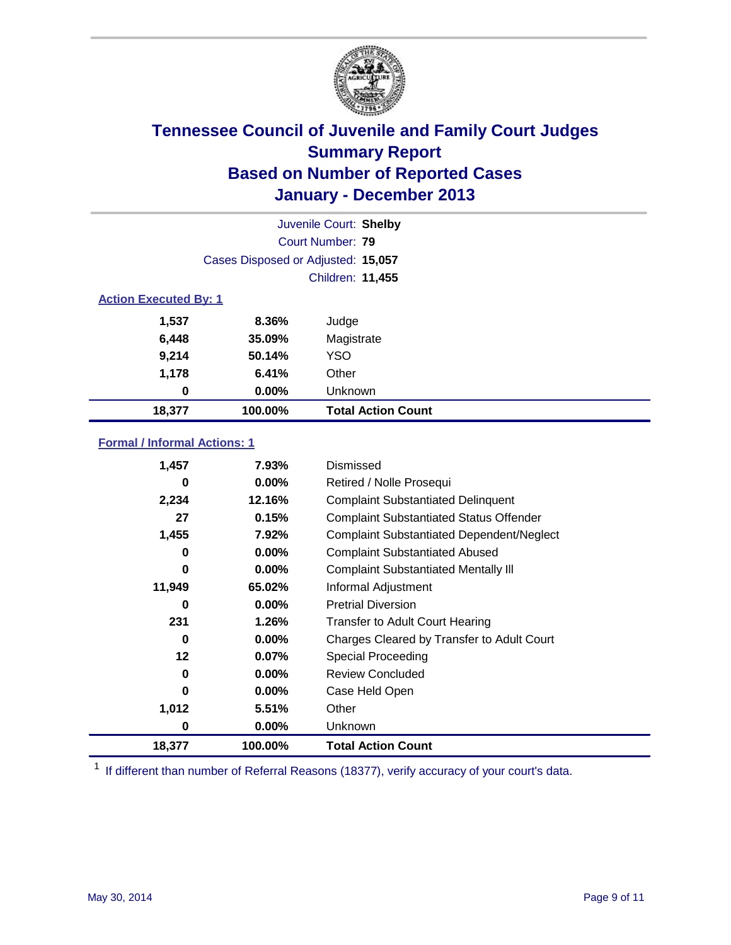

|                              | Juvenile Court: Shelby             |                           |  |  |  |
|------------------------------|------------------------------------|---------------------------|--|--|--|
|                              | Court Number: 79                   |                           |  |  |  |
|                              | Cases Disposed or Adjusted: 15,057 |                           |  |  |  |
|                              | Children: 11,455                   |                           |  |  |  |
| <b>Action Executed By: 1</b> |                                    |                           |  |  |  |
| 1,537                        | 8.36%                              | Judge                     |  |  |  |
| 6,448                        | 35.09%                             | Magistrate                |  |  |  |
| 9,214                        | 50.14%                             | <b>YSO</b>                |  |  |  |
| 1,178                        | 6.41%                              | Other                     |  |  |  |
| 0                            | $0.00\%$                           | Unknown                   |  |  |  |
| 18,377                       | 100.00%                            | <b>Total Action Count</b> |  |  |  |

### **Formal / Informal Actions: 1**

| 1,457    | 7.93%    | Dismissed                                        |
|----------|----------|--------------------------------------------------|
| 0        | $0.00\%$ | Retired / Nolle Prosequi                         |
| 2,234    | 12.16%   | <b>Complaint Substantiated Delinquent</b>        |
| 27       | 0.15%    | <b>Complaint Substantiated Status Offender</b>   |
| 1,455    | 7.92%    | <b>Complaint Substantiated Dependent/Neglect</b> |
| 0        | 0.00%    | <b>Complaint Substantiated Abused</b>            |
| 0        | $0.00\%$ | <b>Complaint Substantiated Mentally III</b>      |
| 11,949   | 65.02%   | Informal Adjustment                              |
| 0        | $0.00\%$ | <b>Pretrial Diversion</b>                        |
| 231      | 1.26%    | <b>Transfer to Adult Court Hearing</b>           |
| 0        | $0.00\%$ | Charges Cleared by Transfer to Adult Court       |
| 12       | 0.07%    | Special Proceeding                               |
| 0        | $0.00\%$ | <b>Review Concluded</b>                          |
| $\bf{0}$ | $0.00\%$ | Case Held Open                                   |
| 1,012    | 5.51%    | Other                                            |
| 0        | $0.00\%$ | Unknown                                          |
| 18,377   | 100.00%  | <b>Total Action Count</b>                        |

<sup>1</sup> If different than number of Referral Reasons (18377), verify accuracy of your court's data.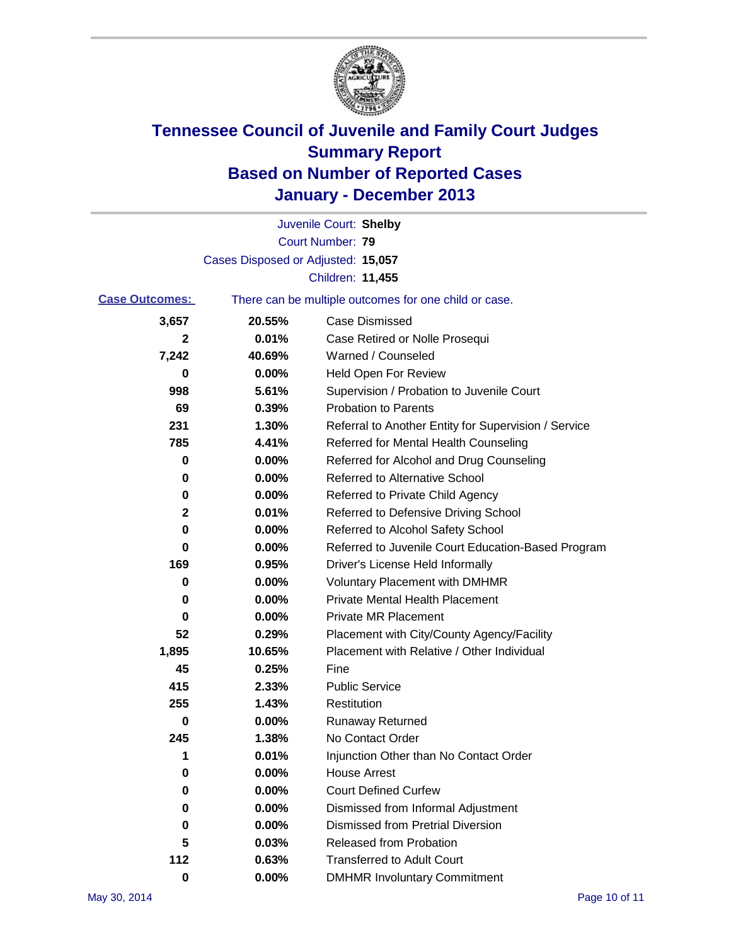

|                       |                                    | Juvenile Court: Shelby                                |
|-----------------------|------------------------------------|-------------------------------------------------------|
|                       |                                    | Court Number: 79                                      |
|                       | Cases Disposed or Adjusted: 15,057 |                                                       |
|                       |                                    | Children: 11,455                                      |
| <b>Case Outcomes:</b> |                                    | There can be multiple outcomes for one child or case. |
| 3,657                 | 20.55%                             | Case Dismissed                                        |
| 2                     | 0.01%                              | Case Retired or Nolle Prosequi                        |
| 7,242                 | 40.69%                             | Warned / Counseled                                    |
| 0                     | 0.00%                              | Held Open For Review                                  |
| 998                   | 5.61%                              | Supervision / Probation to Juvenile Court             |
| 69                    | 0.39%                              | <b>Probation to Parents</b>                           |
| 231                   | 1.30%                              | Referral to Another Entity for Supervision / Service  |
| 785                   | 4.41%                              | Referred for Mental Health Counseling                 |
| 0                     | 0.00%                              | Referred for Alcohol and Drug Counseling              |
| 0                     | 0.00%                              | <b>Referred to Alternative School</b>                 |
| 0                     | 0.00%                              | Referred to Private Child Agency                      |
| 2                     | 0.01%                              | Referred to Defensive Driving School                  |
| 0                     | 0.00%                              | Referred to Alcohol Safety School                     |
| 0                     | 0.00%                              | Referred to Juvenile Court Education-Based Program    |
| 169                   | 0.95%                              | Driver's License Held Informally                      |
| 0                     | 0.00%                              | <b>Voluntary Placement with DMHMR</b>                 |
| 0                     | 0.00%                              | <b>Private Mental Health Placement</b>                |
| 0                     | 0.00%                              | <b>Private MR Placement</b>                           |
| 52                    | 0.29%                              | Placement with City/County Agency/Facility            |
| 1,895                 | 10.65%                             | Placement with Relative / Other Individual            |
| 45                    | 0.25%                              | Fine                                                  |
| 415                   | 2.33%                              | <b>Public Service</b>                                 |
| 255                   | 1.43%                              | Restitution                                           |
| 0                     | 0.00%                              | <b>Runaway Returned</b>                               |
| 245                   | 1.38%                              | No Contact Order                                      |
| 1                     | 0.01%                              | Injunction Other than No Contact Order                |
| 0                     | 0.00%                              | <b>House Arrest</b>                                   |
| 0                     | 0.00%                              | <b>Court Defined Curfew</b>                           |
| 0                     | 0.00%                              | Dismissed from Informal Adjustment                    |
| 0                     | 0.00%                              | <b>Dismissed from Pretrial Diversion</b>              |
| 5                     | 0.03%                              | Released from Probation                               |
| 112                   | 0.63%                              | <b>Transferred to Adult Court</b>                     |
| 0                     | $0.00\%$                           | <b>DMHMR Involuntary Commitment</b>                   |